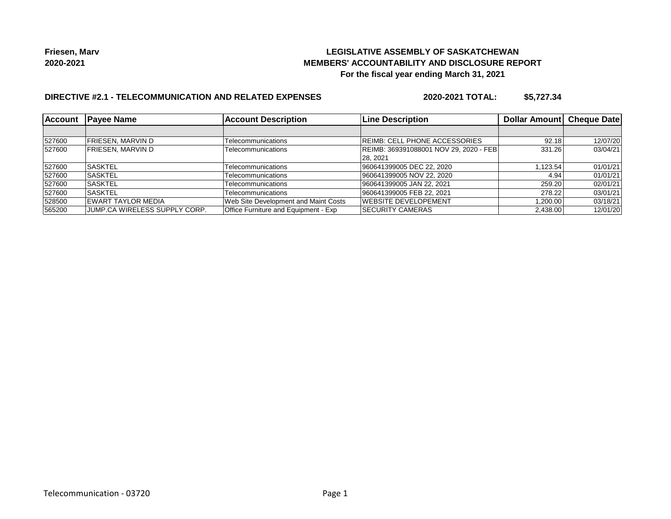# **LEGISLATIVE ASSEMBLY OF SASKATCHEWAN MEMBERS' ACCOUNTABILITY AND DISCLOSURE REPORT For the fiscal year ending March 31, 2021**

# **DIRECTIVE #2.1 - TELECOMMUNICATION AND RELATED EXPENSES**

**2020-2021 TOTAL: \$5,727.34**

| <b>Account</b> | <b>IPavee Name</b>            | <b>Account Description</b>           | <b>Line Description</b>                | <b>Dollar Amount</b> | <b>Cheque Date</b> |
|----------------|-------------------------------|--------------------------------------|----------------------------------------|----------------------|--------------------|
|                |                               |                                      |                                        |                      |                    |
| 527600         | FRIESEN. MARVIN D             | Telecommunications                   | <b>REIMB: CELL PHONE ACCESSORIES</b>   | 92.18                | 12/07/20           |
| 527600         | <b>FRIESEN, MARVIN D</b>      | Telecommunications                   | REIMB: 369391088001 NOV 29, 2020 - FEB | 331.26               | 03/04/21           |
|                |                               |                                      | 28, 2021                               |                      |                    |
| 527600         | ISASKTEL                      | Telecommunications                   | 960641399005 DEC 22, 2020              | 1,123.54             | 01/01/21           |
| 527600         | <b>SASKTEL</b>                | Telecommunications                   | 960641399005 NOV 22, 2020              | 4.94                 | 01/01/21           |
| 527600         | ISASKTEL                      | Telecommunications                   | 960641399005 JAN 22, 2021              | 259.20               | 02/01/21           |
| 527600         | <b>ISASKTEL</b>               | Telecommunications                   | 960641399005 FEB 22, 2021              | 278.22               | 03/01/21           |
| 528500         | <b>EWART TAYLOR MEDIA</b>     | Web Site Development and Maint Costs | WEBSITE DEVELOPEMENT                   | 1,200.00             | 03/18/21           |
| 565200         | JUMP.CA WIRELESS SUPPLY CORP. | Office Furniture and Equipment - Exp | <b>ISECURITY CAMERAS</b>               | 2,438.00             | 12/01/20           |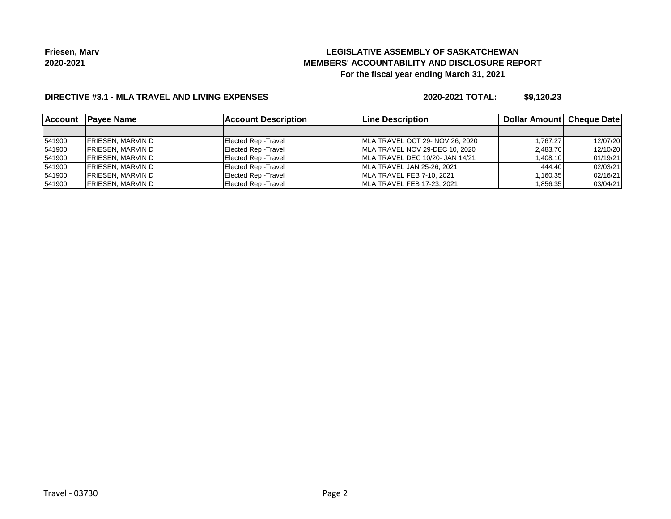# **LEGISLATIVE ASSEMBLY OF SASKATCHEWAN MEMBERS' ACCOUNTABILITY AND DISCLOSURE REPORT For the fiscal year ending March 31, 2021**

### **DIRECTIVE #3.1 - MLA TRAVEL AND LIVING EXPENSES**

**2020-2021 TOTAL: \$9,120.23**

| l Account | <b>IPavee Name</b>        | <b>Account Description</b> | <b>ILine Description</b>        | <b>Dollar Amountl Cheque Date</b> |          |
|-----------|---------------------------|----------------------------|---------------------------------|-----------------------------------|----------|
|           |                           |                            |                                 |                                   |          |
| 541900    | <b>IFRIESEN, MARVIN D</b> | Elected Rep - Travel       | MLA TRAVEL OCT 29- NOV 26. 2020 | 1.767.27                          | 12/07/20 |
| 541900    | <b>FRIESEN, MARVIN D</b>  | Elected Rep - Travel       | MLA TRAVEL NOV 29-DEC 10, 2020  | 2,483.76                          | 12/10/20 |
| 541900    | <b>FRIESEN, MARVIN D</b>  | Elected Rep - Travel       | MLA TRAVEL DEC 10/20- JAN 14/21 | 1.408.10                          | 01/19/21 |
| 541900    | <b>FRIESEN, MARVIN D</b>  | Elected Rep - Travel       | MLA TRAVEL JAN 25-26, 2021      | 444.40                            | 02/03/21 |
| 541900    | FRIESEN, MARVIN D         | Elected Rep - Travel       | MLA TRAVEL FEB 7-10, 2021       | 1,160.35                          | 02/16/21 |
| 541900    | <b>FRIESEN, MARVIN D</b>  | Elected Rep - Travel       | MLA TRAVEL FEB 17-23, 2021      | 1,856.35                          | 03/04/21 |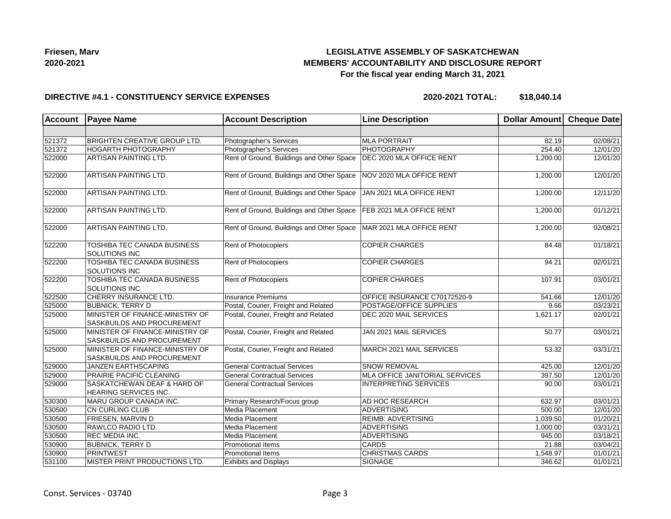# **LEGISLATIVE ASSEMBLY OF SASKATCHEWAN MEMBERS' ACCOUNTABILITY AND DISCLOSURE REPORT For the fiscal year ending March 31, 2021**

### **DIRECTIVE #4.1 - CONSTITUENCY SERVICE EXPENSES**

**2020-2021 TOTAL: \$18,040.14**

| <b>Account</b> | <b>Payee Name</b>                                             | <b>Account Description</b>                | <b>Line Description</b>         | Dollar Amount Cheque Date |          |
|----------------|---------------------------------------------------------------|-------------------------------------------|---------------------------------|---------------------------|----------|
|                |                                                               |                                           |                                 |                           |          |
| 521372         | <b>BRIGHTEN CREATIVE GROUP LTD.</b>                           | Photographer's Services                   | <b>MLA PORTRAIT</b>             | 82.19                     | 02/08/21 |
| 521372         | <b>HOGARTH PHOTOGRAPHY</b>                                    | Photographer's Services                   | PHOTOGRAPHY                     | 254.40                    | 12/01/20 |
| 522000         | ARTISAN PAINTING LTD.                                         | Rent of Ground, Buildings and Other Space | <b>DEC 2020 MLA OFFICE RENT</b> | 1,200.00                  | 12/01/20 |
| 522000         | ARTISAN PAINTING LTD.                                         | Rent of Ground, Buildings and Other Space | NOV 2020 MLA OFFICE RENT        | 1,200.00                  | 12/01/20 |
| 522000         | ARTISAN PAINTING LTD.                                         | Rent of Ground, Buildings and Other Space | JAN 2021 MLA OFFICE RENT        | 1,200.00                  | 12/11/20 |
| 522000         | ARTISAN PAINTING LTD.                                         | Rent of Ground, Buildings and Other Space | FEB 2021 MLA OFFICE RENT        | 1,200.00                  | 01/12/21 |
| 522000         | <b>ARTISAN PAINTING LTD.</b>                                  | Rent of Ground, Buildings and Other Space | MAR 2021 MLA OFFICE RENT        | 1,200.00                  | 02/08/21 |
| 522200         | TOSHIBA TEC CANADA BUSINESS<br><b>SOLUTIONS INC</b>           | Rent of Photocopiers                      | <b>COPIER CHARGES</b>           | 84.48                     | 01/18/21 |
| 522200         | TOSHIBA TEC CANADA BUSINESS<br><b>SOLUTIONS INC</b>           | Rent of Photocopiers                      | <b>COPIER CHARGES</b>           | 94.21                     | 02/01/21 |
| 522200         | TOSHIBA TEC CANADA BUSINESS<br>SOLUTIONS INC                  | Rent of Photocopiers                      | <b>COPIER CHARGES</b>           | 107.91                    | 03/01/21 |
| 522500         | CHERRY INSURANCE LTD.                                         | <b>Insurance Premiums</b>                 | OFFICE INSURANCE C70172520-9    | 541.66                    | 12/01/20 |
| 525000         | <b>BUBNICK, TERRY D</b>                                       | Postal, Courier, Freight and Related      | POSTAGE/OFFICE SUPPLIES         | 9.66                      | 03/23/21 |
| 525000         | MINISTER OF FINANCE-MINISTRY OF<br>SASKBUILDS AND PROCUREMENT | Postal, Courier, Freight and Related      | DEC 2020 MAIL SERVICES          | 1,621.17                  | 02/01/21 |
| 525000         | MINISTER OF FINANCE-MINISTRY OF<br>SASKBUILDS AND PROCUREMENT | Postal, Courier, Freight and Related      | JAN 2021 MAIL SERVICES          | 50.77                     | 03/01/21 |
| 525000         | MINISTER OF FINANCE-MINISTRY OF<br>SASKBUILDS AND PROCUREMENT | Postal, Courier, Freight and Related      | MARCH 2021 MAIL SERVICES        | 53.32                     | 03/31/21 |
| 529000         | <b>JANZEN EARTHSCAPING</b>                                    | <b>General Contractual Services</b>       | <b>SNOW REMOVAL</b>             | 425.00                    | 12/01/20 |
| 529000         | <b>PRAIRIE PACIFIC CLEANING</b>                               | <b>General Contractual Services</b>       | MLA OFFICE JANITORIAL SERVICES  | 397.50                    | 12/01/20 |
| 529000         | SASKATCHEWAN DEAF & HARD OF<br>HEARING SERVICES INC.          | <b>General Contractual Services</b>       | <b>INTERPRETING SERVICES</b>    | 90.00                     | 03/01/21 |
| 530300         | MARU GROUP CANADA INC.                                        | Primary Research/Focus group              | <b>AD HOC RESEARCH</b>          | 632.97                    | 03/01/21 |
| 530500         | CN CURLING CLUB                                               | Media Placement                           | <b>ADVERTISING</b>              | 500.00                    | 12/01/20 |
| 530500         | FRIESEN, MARVIN D                                             | Media Placement                           | <b>REIMB: ADVERTISING</b>       | 1,039.50                  | 01/20/21 |
| 530500         | RAWLCO RADIO LTD.                                             | Media Placement                           | <b>ADVERTISING</b>              | 1,000.00                  | 03/31/21 |
| 530500         | <b>REC MEDIA INC.</b>                                         | Media Placement                           | ADVERTISING                     | 945.00                    | 03/18/21 |
| 530900         | <b>BUBNICK, TERRY D</b>                                       | <b>Promotional Items</b>                  | <b>CARDS</b>                    | 21.88                     | 03/04/21 |
| 530900         | PRINTWEST                                                     | <b>Promotional Items</b>                  | <b>CHRISTMAS CARDS</b>          | 1,548.97                  | 01/01/21 |
| 531100         | MISTER PRINT PRODUCTIONS LTD.                                 | <b>Exhibits and Displays</b>              | <b>SIGNAGE</b>                  | 346.62                    | 01/01/21 |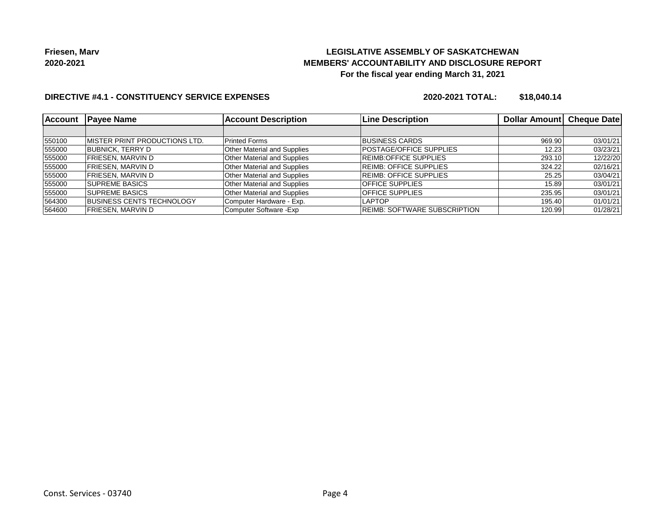# **LEGISLATIVE ASSEMBLY OF SASKATCHEWAN MEMBERS' ACCOUNTABILITY AND DISCLOSURE REPORT For the fiscal year ending March 31, 2021**

### **DIRECTIVE #4.1 - CONSTITUENCY SERVICE EXPENSES**

**2020-2021 TOTAL: \$18,040.14**

| <b>Account</b> | <b>Payee Name</b>                | <b>Account Description</b>         | <b>Line Description</b>             | Dollar Amount   Cheque Date |          |
|----------------|----------------------------------|------------------------------------|-------------------------------------|-----------------------------|----------|
|                |                                  |                                    |                                     |                             |          |
| 550100         | IMISTER PRINT PRODUCTIONS LTD.   | <b>Printed Forms</b>               | <b>BUSINESS CARDS</b>               | 969.90                      | 03/01/21 |
| 555000         | BUBNICK, TERRY D                 | <b>Other Material and Supplies</b> | <b>POSTAGE/OFFICE SUPPLIES</b>      | 12.23                       | 03/23/21 |
| 555000         | <b>FRIESEN, MARVIN D</b>         | <b>Other Material and Supplies</b> | <b>REIMB:OFFICE SUPPLIES</b>        | 293.10                      | 12/22/20 |
| 555000         | <b>FRIESEN, MARVIN D</b>         | <b>Other Material and Supplies</b> | <b>REIMB: OFFICE SUPPLIES</b>       | 324.22                      | 02/16/21 |
| 555000         | <b>FRIESEN, MARVIN D</b>         | <b>Other Material and Supplies</b> | <b>REIMB: OFFICE SUPPLIES</b>       | 25.25                       | 03/04/21 |
| 555000         | <b>SUPREME BASICS</b>            | <b>Other Material and Supplies</b> | <b>OFFICE SUPPLIES</b>              | 15.89                       | 03/01/21 |
| 555000         | <b>SUPREME BASICS</b>            | <b>Other Material and Supplies</b> | <b>OFFICE SUPPLIES</b>              | 235.95                      | 03/01/21 |
| 564300         | <b>BUSINESS CENTS TECHNOLOGY</b> | Computer Hardware - Exp.           | <b>LAPTOP</b>                       | 195.40                      | 01/01/21 |
| 564600         | <b>FRIESEN, MARVIN D</b>         | Computer Software - Exp            | <b>REIMB: SOFTWARE SUBSCRIPTION</b> | 120.99                      | 01/28/21 |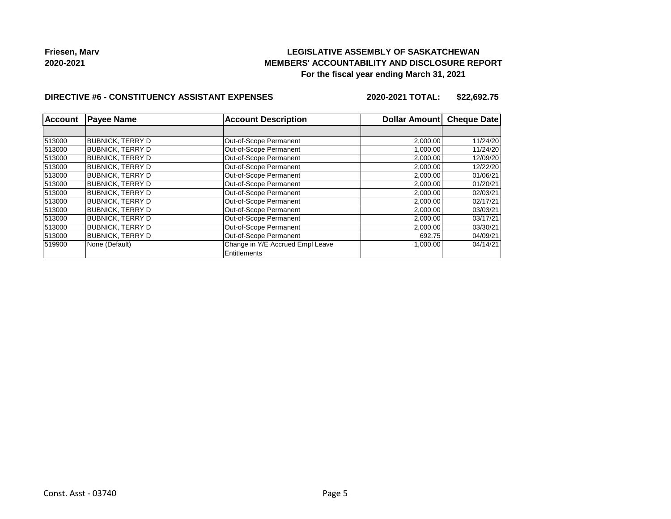# **LEGISLATIVE ASSEMBLY OF SASKATCHEWAN MEMBERS' ACCOUNTABILITY AND DISCLOSURE REPORT For the fiscal year ending March 31, 2021**

### **DIRECTIVE #6 - CONSTITUENCY ASSISTANT EXPENSES**

**2020-2021 TOTAL: \$22,692.75**

| <b>Account</b> | <b>Payee Name</b>       | <b>Account Description</b>                       | Dollar Amount | <b>Cheque Date</b> |
|----------------|-------------------------|--------------------------------------------------|---------------|--------------------|
|                |                         |                                                  |               |                    |
| 513000         | <b>BUBNICK, TERRY D</b> | Out-of-Scope Permanent                           | 2,000.00      | 11/24/20           |
| 513000         | <b>BUBNICK, TERRY D</b> | Out-of-Scope Permanent                           | 1,000.00      | 11/24/20           |
| 513000         | BUBNICK. TERRY D        | Out-of-Scope Permanent                           | 2,000.00      | 12/09/20           |
| 513000         | <b>BUBNICK, TERRY D</b> | Out-of-Scope Permanent                           | 2,000.00      | 12/22/20           |
| 513000         | BUBNICK, TERRY D        | Out-of-Scope Permanent                           | 2,000.00      | 01/06/21           |
| 513000         | <b>BUBNICK, TERRY D</b> | Out-of-Scope Permanent                           | 2,000.00      | 01/20/21           |
| 513000         | BUBNICK. TERRY D        | Out-of-Scope Permanent                           | 2,000.00      | 02/03/21           |
| 513000         | <b>BUBNICK, TERRY D</b> | Out-of-Scope Permanent                           | 2,000.00      | 02/17/21           |
| 513000         | BUBNICK, TERRY D        | Out-of-Scope Permanent                           | 2,000.00      | 03/03/21           |
| 513000         | <b>BUBNICK, TERRY D</b> | Out-of-Scope Permanent                           | 2,000.00      | 03/17/21           |
| 513000         | BUBNICK. TERRY D        | Out-of-Scope Permanent                           | 2,000.00      | 03/30/21           |
| 513000         | <b>BUBNICK, TERRY D</b> | Out-of-Scope Permanent                           | 692.75        | 04/09/21           |
| 519900         | None (Default)          | Change in Y/E Accrued Empl Leave<br>Entitlements | 1,000.00      | 04/14/21           |